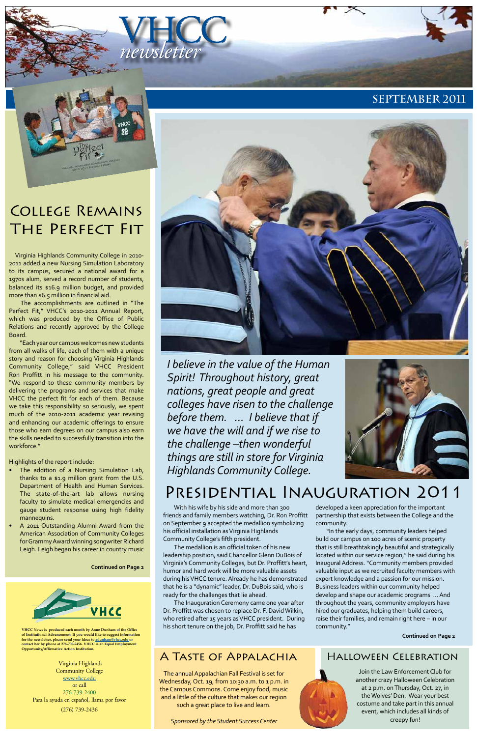VHCC *newsletter*

**VHCC News is produced each month by Anne Dunham of the Office of Institutional Advancement. If you would like to suggest information for the newsletter, please send your ideas to [adunham@vhcc.edu or](mailto:adunham@vhcc.edu) contact her by phone at 276-739-2456. VHCC is an Equal Employment Opportunity/Affirmative Action Institution.**

Virginia Highlands Community College [www.vhcc.edu](http://www.vhcc.edu) or call 276-739-2400 Para la ayuda en español, llama por favor (276) 739-2436





# College Remains The Perfect Fit

*I believe in the value of the Human Spirit! Throughout history, great nations, great people and great colleges have risen to the challenge before them. ... I believe that if we have the will and if we rise to the challenge –then wonderful things are still in store for Virginia Highlands Community College.*



# Presidential Inauguration 2011

Virginia Highlands Community College in 2010- 2011 added a new Nursing Simulation Laboratory to its campus, secured a national award for a 1970s alum, served a record number of students, balanced its \$16.9 million budget, and provided more than \$6.5 million in financial aid.

- The addition of a Nursing Simulation Lab, thanks to a \$1.9 million grant from the U.S. Department of Health and Human Services. The state-of-the-art lab allows nursing faculty to simulate medical emergencies and gauge student response using high fidelity mannequins.
- A 2011 Outstanding Alumni Award from the American Association of Community Colleges



The accomplishments are outlined in "The Perfect Fit," VHCC's 2010-2011 Annual Report, which was produced by the Office of Public Relations and recently approved by the College Board.

"Each year our campus welcomes new students from all walks of life, each of them with a unique story and reason for choosing Virginia Highlands Community College," said VHCC President Ron Proffitt in his message to the community. "We respond to these community members by delivering the programs and services that make VHCC the perfect fit for each of them. Because we take this responsibility so seriously, we spent much of the 2010-2011 academic year revising and enhancing our academic offerings to ensure those who earn degrees on our campus also earn the skills needed to successfully transition into the workforce."

> With his wife by his side and more than 300 friends and family members watching, Dr. Ron Proffitt on September 9 accepted the medallion symbolizing his official installation as Virginia Highlands Community College's fifth president. The medallion is an official token of his new leadership position, said Chancellor Glenn DuBois of Virginia's Community Colleges, but Dr. Proffitt's heart, humor and hard work will be more valuable assets during his VHCC tenure. Already he has demonstrated that he is a "dynamic" leader, Dr. DuBois said, who is ready for the challenges that lie ahead. The Inauguration Ceremony came one year after Dr. Proffitt was chosen to replace Dr. F. David Wilkin, who retired after 15 years as VHCC president. During his short tenure on the job, Dr. Proffitt said he has

Highlights of the report include:

for Grammy Award winning songwriter Richard Leigh. Leigh began his career in country music

### **Continued on Page 2**



## A Taste of Appalachia Halloween Celebration

The annual Appalachian Fall Festival is set for Wednesday, Oct. 19, from 10:30 a.m. to 1 p.m. in the Campus Commons. Come enjoy food, music and a little of the culture that makes our region such a great place to live and learn.

*Sponsored by the Student Success Center*

Join the Law Enforcement Club for another crazy Halloween Celebration at 2 p.m. on Thursday, Oct. 27, in the Wolves' Den. Wear your best costume and take part in this annual event, which includes all kinds of creepy fun!

developed a keen appreciation for the important partnership that exists between the College and the community.

"In the early days, community leaders helped build our campus on 100 acres of scenic property

that is still breathtakingly beautiful and strategically located within our service region," he said during his Inaugural Address. "Community members provided valuable input as we recruited faculty members with expert knowledge and a passion for our mission. Business leaders within our community helped develop and shape our academic programs … And throughout the years, community employers have hired our graduates, helping them build careers, raise their families, and remain right here – in our community."

**Continued on Page 2**